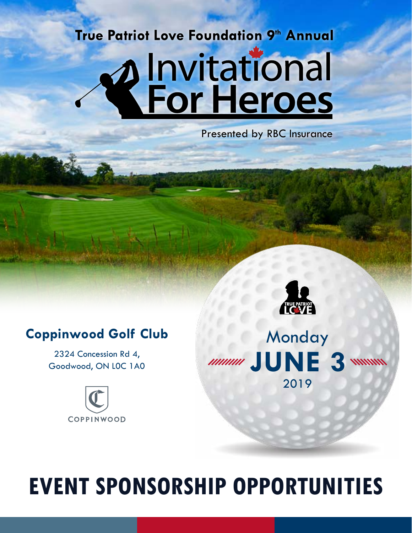# **True Patriot Love Foundation 9th Annual Alnvitational**<br>**References**

Presented by RBC Insurance

## **Coppinwood Golf Club**

2324 Concession Rd 4, Goodwood, ON L0C 1A0





# **EVENT SPONSORSHIP OPPORTUNITIES**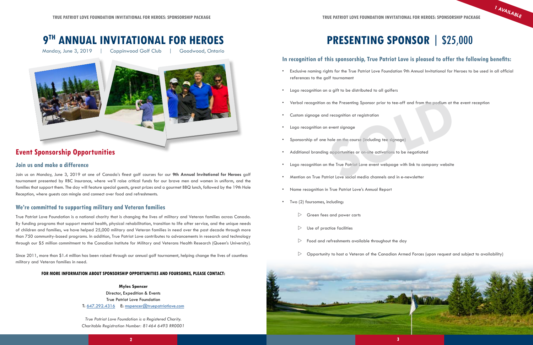

### **Event Sponsorship Opportunities**

## **9TH ANNUAL INVITATIONAL FOR HEROES PRESENTING SPONSOR** | \$25,000

Monday, June 3, 2019 | Coppinwood Golf Club | Goodwood, Ontario



Join us on Monday, June 3, 2019 at one of Canada's finest golf courses for our **9th Annual Invitational for Heroes** golf tournament presented by RBC Insurance, where we'll raise critical funds for our brave men and women in uniform, and the families that support them. The day will feature special guests, great prizes and a gourmet BBQ lunch, followed by the 19th Hole Reception, where guests can mingle and connect over food and refreshments.

Since 2011, more than \$1.4 million has been raised through our annual golf tournament, helping change the lives of countless military and Veteran families in need.

> Director, Expedition & Events True Patriot Love Foundation T: 64[7.292.4316](mailto:tel:647.292.4316?subject=) E: [mspencer@truepatriotlove.com](mailto:mspencer%40truepatriotlove.com?subject=Golf%20Tournament%20Inquiry%20from%20Sponsorship%20Package)

- references to the golf tournament
- Logo recognition on a gift to be distributed to all golfers
- Verbal recognition as the Presenting Sponsor prior to tee-off and from the podium at the event reception
- Custom signage and recognition at registration
- Logo recognition on event signage
- Sponsorship of one hole on the course (including tee signage)
- Additional branding opportunities or on-site activations to be negotiated
- Logo recognition on the True Patriot Love event webpage with link to company website
- Mention on True Patriot Love social media channels and in e-newsletter
- Name recognition in True Patriot Love's Annual Report
- Two (2) foursomes, including:
	- $\triangleright$  Green fees and power carts
	- Use of practice facilities
	- $\triangleright$  Food and refreshments available throughout the day
	-

True Patriot Love Foundation is a national charity that is changing the lives of military and Veteran families across Canada. By funding programs that support mental health, physical rehabilitation, transition to life after service, and the unique needs of children and families, we have helped 25,000 military and Veteran families in need over the past decade through more than 750 community-based programs. In addition, True Patriot Love contributes to advancements in research and technology through our \$5 million commitment to the Canadian Institute for Military and Veterans Health Research (Queen's University).

#### **FOR MORE INFORMATION ABOUT SPONSORSHIP OPPORTUNITIES AND FOURSOMES, PLEASE CONTACT:**

#### **Myles Spencer**

*True Patriot Love Foundation is a Registered Charity. Charitable Registration Number: 81464 6493 RR0001*

#### **In recognition of this sponsorship, True Patriot Love is pleased to offer the following benefits:**

• Exclusive naming rights for the True Patriot Love Foundation 9th Annual Invitational for Heroes to be used in all official

#### **Join us and make a difference**

#### **We're committed to supporting military and Veteran families**

**1 AVAILABLE**

as the Presenting Sponsor prior to tee-off and from the podium at the event r<br>
I recognition at registration<br>
event signage<br>
hole on the course (including tee signage)<br> **SOCUTE:**<br> **SOCUTE:**<br> **SOCUTE:**<br> **SOCUTE:**<br> **SOCUTE:** 

 $\triangleright$  Opportunity to host a Veteran of the Canadian Armed Forces (upon request and subject to availability)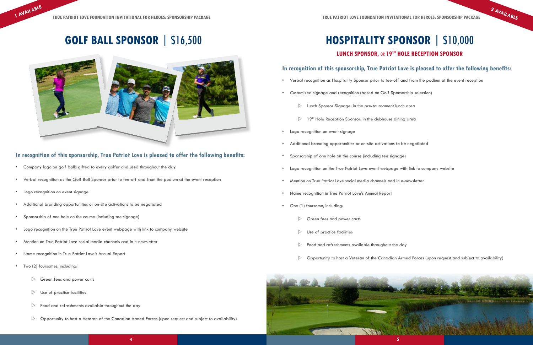



 $\triangleright$  Opportunity to host a Veteran of the Canadian Armed Forces (upon request and subject to availability)

- Company logo on golf balls gifted to every golfer and used throughout the day
- Verbal recognition as the Golf Ball Sponsor prior to tee-off and from the podium at the event reception
- Logo recognition on event signage

#### **In recognition of this sponsorship, True Patriot Love is pleased to offer the following benefits:**

#### **LUNCH SPONSOR,** OR **19TH HOLE RECEPTION SPONSOR**

- Additional branding opportunities or on-site activations to be negotiated
- Sponsorship of one hole on the course (including tee signage)
- Logo recognition on the True Patriot Love event webpage with link to company website
- Mention on True Patriot Love social media channels and in e-newsletter
- Name recognition in True Patriot Love's Annual Report
- Two (2) foursomes, including:
	- $\triangleright$  Green fees and power carts
	- $\triangleright$  Use of practice facilities
	- $\triangleright$  Food and refreshments available throughout the day
	- $\triangleright$  Opportunity to host a Veteran of the Canadian Armed Forces (upon request and subject to availability)

#### **In recognition of this sponsorship, True Patriot Love is pleased to offer the following benefits:**

- Verbal recognition as Hospitality Sponsor prior to tee-off and from the podium at the event reception
- Customized signage and recognition (based on Golf Sponsorship selection)
	- $\triangleright$  Lunch Sponsor Signage: in the pre-tournament lunch area
	- $\triangleright$  19<sup>th</sup> Hole Reception Sponsor: in the clubhouse dining area
- Logo recognition on event signage
- Additional branding opportunities or on-site activations to be negotiated
- Sponsorship of one hole on the course (including tee signage)
- Logo recognition on the True Patriot Love event webpage with link to company website
- Mention on True Patriot Love social media channels and in e-newsletter
- Name recognition in True Patriot Love's Annual Report
- One (1) foursome, including:
	- $\triangleright$  Green fees and power carts
	- $\triangleright$  Use of practice facilities
	- $\triangleright$  Food and refreshments available throughout the day
	-

## **GOLF BALL SPONSOR** | \$16,500



 **1 AVAILABLE**

**2 AVAILABLE**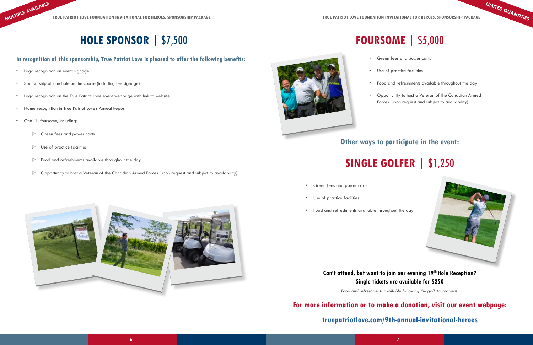- Logo recognition on event signage
- Sponsorship of one hole on the course (including tee signage)
- Logo recognition on the True Patriot Love event webpage with link to website
- Name recognition in True Patriot Love's Annual Report
- One (1) foursome, including:
	- $\triangleright$  Green fees and power carts
	- $\triangleright$  Use of practice facilities
	- $\triangleright$  Food and refreshments available throughout the day
	- $\triangleright$  Opportunity to host a Veteran of the Canadian Armed Forces (upon request and subject to availability)



## **HOLE SPONSOR** | \$7,500

#### **In recognition of this sponsorship, True Patriot Love is pleased to offer the following benefits:**

# **FOURSOME** | \$5,000

- 
- 
- 
- 

• Green fees and power carts

Use of practice facilities

• Food and refreshments available throughout the day

• Opportunity to host a Veteran of the Canadian Armed Forces (upon request and subject to availability)

## **SINGLE GOLFER |** \$1,250



- Green fees and power carts
- Use of practice facilities
- Food and refreshments available throughout the day

#### **Can't attend, but want to join our evening 19th Hole Reception? Single tickets are available for \$250**

*Food and refreshments available following the golf tournament.* 

## **Other ways to participate in the event:**

### **For more information or to make a donation, visit our event webpage:**

#### **[truepatriotlove.com/9th-annual-invitational-heroes](http://truepatriotlove.com/9th-annual-invitational-heroes)**

**LIMITED QUANTITIES**